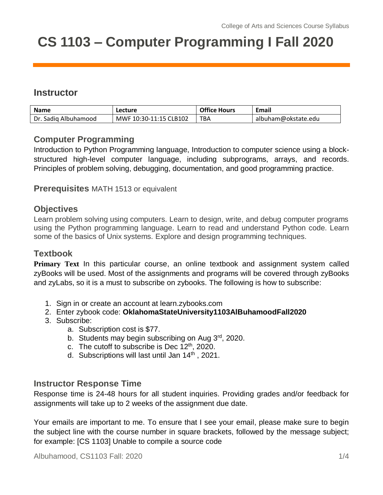# **CS 1103 – Computer Programming I Fall 2020**

# **Instructor**

| <b>Name</b>          | Lecture                | <b>Office Hours</b> | <b>Email</b>        |
|----------------------|------------------------|---------------------|---------------------|
| Dr. Sadig Albuhamood | MWF 10:30-11:15 CLB102 | <b>TBA</b>          | albuham@okstate.edu |

## **Computer Programming**

Introduction to Python Programming language, Introduction to computer science using a blockstructured high-level computer language, including subprograms, arrays, and records. Principles of problem solving, debugging, documentation, and good programming practice.

**Prerequisites** MATH 1513 or equivalent

#### **Objectives**

Learn problem solving using computers. Learn to design, write, and debug computer programs using the Python programming language. Learn to read and understand Python code. Learn some of the basics of Unix systems. Explore and design programming techniques.

#### **Textbook**

**Primary Text** In this particular course, an online textbook and assignment system called zyBooks will be used. Most of the assignments and programs will be covered through zyBooks and zyLabs, so it is a must to subscribe on zybooks. The following is how to subscribe:

- 1. Sign in or create an account at learn.zybooks.com
- 2. Enter zybook code: **OklahomaStateUniversity1103AlBuhamoodFall2020**
- 3. Subscribe:
	- a. Subscription cost is \$77.
	- b. Students may begin subscribing on Aug 3<sup>rd</sup>, 2020.
	- c. The cutoff to subscribe is Dec  $12<sup>th</sup>$ , 2020.
	- d. Subscriptions will last until Jan 14<sup>th</sup>, 2021.

#### **Instructor Response Time**

Response time is 24-48 hours for all student inquiries. Providing grades and/or feedback for assignments will take up to 2 weeks of the assignment due date.

Your emails are important to me. To ensure that I see your email, please make sure to begin the subject line with the course number in square brackets, followed by the message subject; for example: [CS 1103] Unable to compile a source code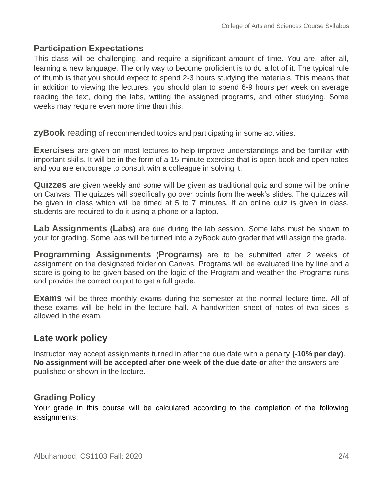## **Participation Expectations**

This class will be challenging, and require a significant amount of time. You are, after all, learning a new language. The only way to become proficient is to do a lot of it. The typical rule of thumb is that you should expect to spend 2-3 hours studying the materials. This means that in addition to viewing the lectures, you should plan to spend 6-9 hours per week on average reading the text, doing the labs, writing the assigned programs, and other studying. Some weeks may require even more time than this.

**zyBook** reading of recommended topics and participating in some activities.

**Exercises** are given on most lectures to help improve understandings and be familiar with important skills. It will be in the form of a 15-minute exercise that is open book and open notes and you are encourage to consult with a colleague in solving it.

**Quizzes** are given weekly and some will be given as traditional quiz and some will be online on Canvas. The quizzes will specifically go over points from the week's slides. The quizzes will be given in class which will be timed at 5 to 7 minutes. If an online quiz is given in class, students are required to do it using a phone or a laptop.

**Lab Assignments (Labs)** are due during the lab session. Some labs must be shown to your for grading. Some labs will be turned into a zyBook auto grader that will assign the grade.

**Programming Assignments (Programs)** are to be submitted after 2 weeks of assignment on the designated folder on Canvas. Programs will be evaluated line by line and a score is going to be given based on the logic of the Program and weather the Programs runs and provide the correct output to get a full grade.

**Exams** will be three monthly exams during the semester at the normal lecture time. All of these exams will be held in the lecture hall. A handwritten sheet of notes of two sides is allowed in the exam.

# **Late work policy**

Instructor may accept assignments turned in after the due date with a penalty **(-10% per day)**. **No assignment will be accepted after one week of the due date or** after the answers are published or shown in the lecture.

#### **Grading Policy**

Your grade in this course will be calculated according to the completion of the following assignments: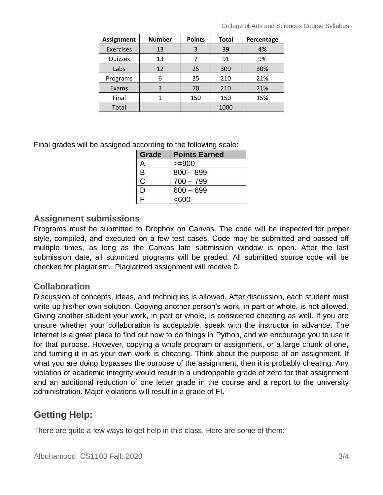| <b>Assignment</b> | <b>Number</b> | <b>Points</b> | <b>Total</b> | Percentage |
|-------------------|---------------|---------------|--------------|------------|
| <b>Exercises</b>  | 13            | 3             | 39           | 4%         |
| Quizzes           | 13            |               | 91           | 9%         |
| Labs              | 12            | 25            | 300          | 30%        |
| Programs          | 6             | 35            | 210          | 21%        |
| Exams             | 3             | 70            | 210          | 21%        |
| Final             |               | 150           | 150          | 15%        |
| Total             |               |               | 1000         |            |

Final grades will be assigned according to the following scale:

| Grade | <b>Points Earned</b> |  |  |
|-------|----------------------|--|--|
| A     | $>= 900$             |  |  |
| B     | $800 - 899$          |  |  |
| C     | $700 - 799$          |  |  |
| D     | $600 - 699$          |  |  |
| ⊏     | <600                 |  |  |

## **Assignment submissions**

Programs must be submitted to Dropbox on Canvas. The code will be inspected for proper style, compiled, and executed on a few test cases. Code may be submitted and passed off multiple times, as long as the Canvas late submission window is open. After the last submission date, all submitted programs will be graded. All submitted source code will be checked for plagiarism. Plagiarized assignment will receive 0.

## **Collaboration**

Discussion of concepts, ideas, and techniques is allowed. After discussion, each student must write up his/her own solution. Copying another person's work, in part or whole, is not allowed. Giving another student your work, in part or whole, is considered cheating as well. If you are unsure whether your collaboration is acceptable, speak with the instructor in advance. The internet is a great place to find out how to do things in Python, and we encourage you to use it for that purpose. However, copying a whole program or assignment, or a large chunk of one, and turning it in as your own work is cheating. Think about the purpose of an assignment. If what you are doing bypasses the purpose of the assignment, then it is probably cheating. Any violation of academic integrity would result in a undroppable grade of zero for that assignment and an additional reduction of one letter grade in the course and a report to the university administration. Major violations will result in a grade of F!.

# **Getting Help:**

There are quite a few ways to get help in this class. Here are some of them: